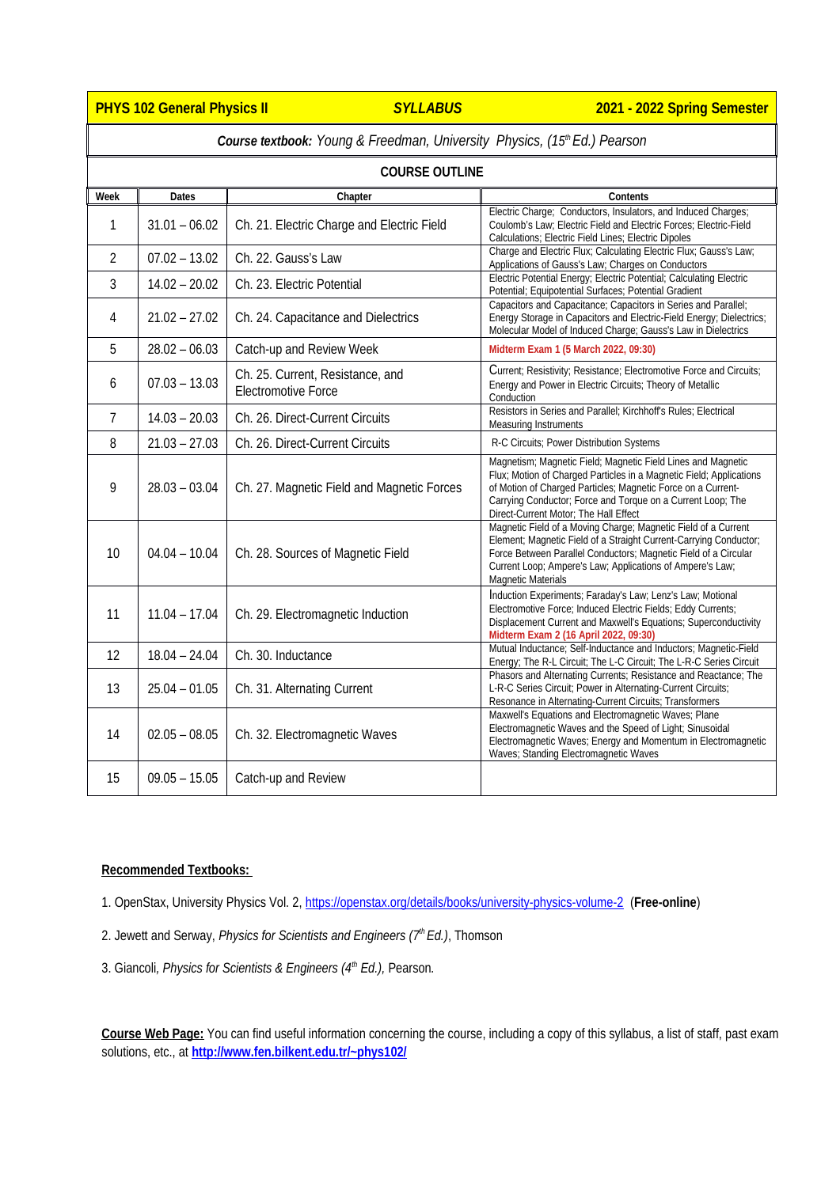**PHYS 102 General Physics II** *SYLLABUS* **2021 - 2022 Spring Semester**

| <b>Course textbook:</b> Young & Freedman, University Physics, (15 <sup>th</sup> Ed.) Pearson |                 |                                                                |                                                                                                                                                                                                                                                                                                             |  |  |
|----------------------------------------------------------------------------------------------|-----------------|----------------------------------------------------------------|-------------------------------------------------------------------------------------------------------------------------------------------------------------------------------------------------------------------------------------------------------------------------------------------------------------|--|--|
| <b>COURSE OUTLINE</b>                                                                        |                 |                                                                |                                                                                                                                                                                                                                                                                                             |  |  |
| Week                                                                                         | <b>Dates</b>    | Chapter                                                        | <b>Contents</b>                                                                                                                                                                                                                                                                                             |  |  |
| $\mathbf{1}$                                                                                 | $31.01 - 06.02$ | Ch. 21. Electric Charge and Electric Field                     | Electric Charge; Conductors, Insulators, and Induced Charges;<br>Coulomb's Law; Electric Field and Electric Forces; Electric-Field<br>Calculations; Electric Field Lines; Electric Dipoles                                                                                                                  |  |  |
| $\overline{2}$                                                                               | $07.02 - 13.02$ | Ch. 22. Gauss's Law                                            | Charge and Electric Flux; Calculating Electric Flux; Gauss's Law;<br>Applications of Gauss's Law; Charges on Conductors                                                                                                                                                                                     |  |  |
| 3                                                                                            | $14.02 - 20.02$ | Ch. 23. Electric Potential                                     | Electric Potential Energy; Electric Potential; Calculating Electric<br>Potential; Equipotential Surfaces; Potential Gradient                                                                                                                                                                                |  |  |
| 4                                                                                            | $21.02 - 27.02$ | Ch. 24. Capacitance and Dielectrics                            | Capacitors and Capacitance; Capacitors in Series and Parallel;<br>Energy Storage in Capacitors and Electric-Field Energy; Dielectrics;<br>Molecular Model of Induced Charge; Gauss's Law in Dielectrics                                                                                                     |  |  |
| 5                                                                                            | $28.02 - 06.03$ | Catch-up and Review Week                                       | Midterm Exam 1 (5 March 2022, 09:30)                                                                                                                                                                                                                                                                        |  |  |
| 6                                                                                            | $07.03 - 13.03$ | Ch. 25. Current, Resistance, and<br><b>Electromotive Force</b> | Current; Resistivity; Resistance; Electromotive Force and Circuits;<br>Energy and Power in Electric Circuits; Theory of Metallic<br>Conduction                                                                                                                                                              |  |  |
| $\overline{7}$                                                                               | $14.03 - 20.03$ | Ch. 26. Direct-Current Circuits                                | Resistors in Series and Parallel; Kirchhoff's Rules; Electrical<br><b>Measuring Instruments</b>                                                                                                                                                                                                             |  |  |
| 8                                                                                            | $21.03 - 27.03$ | Ch. 26. Direct-Current Circuits                                | R-C Circuits; Power Distribution Systems                                                                                                                                                                                                                                                                    |  |  |
| 9                                                                                            | $28.03 - 03.04$ | Ch. 27. Magnetic Field and Magnetic Forces                     | Magnetism; Magnetic Field; Magnetic Field Lines and Magnetic<br>Flux; Motion of Charged Particles in a Magnetic Field; Applications<br>of Motion of Charged Particles; Magnetic Force on a Current-<br>Carrying Conductor; Force and Torque on a Current Loop; The<br>Direct-Current Motor; The Hall Effect |  |  |
| 10                                                                                           | $04.04 - 10.04$ | Ch. 28. Sources of Magnetic Field                              | Magnetic Field of a Moving Charge; Magnetic Field of a Current<br>Element; Magnetic Field of a Straight Current-Carrying Conductor;<br>Force Between Parallel Conductors; Magnetic Field of a Circular<br>Current Loop; Ampere's Law; Applications of Ampere's Law;<br><b>Magnetic Materials</b>            |  |  |
| 11                                                                                           | $11.04 - 17.04$ | Ch. 29. Electromagnetic Induction                              | Induction Experiments; Faraday's Law; Lenz's Law; Motional<br>Electromotive Force; Induced Electric Fields; Eddy Currents;<br>Displacement Current and Maxwell's Equations; Superconductivity<br>Midterm Exam 2 (16 April 2022, 09:30)                                                                      |  |  |
| 12                                                                                           | $18.04 - 24.04$ | Ch. 30. Inductance                                             | Mutual Inductance; Self-Inductance and Inductors; Magnetic-Field<br>Energy; The R-L Circuit; The L-C Circuit; The L-R-C Series Circuit                                                                                                                                                                      |  |  |
| 13                                                                                           | $25.04 - 01.05$ | Ch. 31. Alternating Current                                    | Phasors and Alternating Currents; Resistance and Reactance; The<br>L-R-C Series Circuit; Power in Alternating-Current Circuits;<br>Resonance in Alternating-Current Circuits; Transformers                                                                                                                  |  |  |
| 14                                                                                           | $02.05 - 08.05$ | Ch. 32. Electromagnetic Waves                                  | Maxwell's Equations and Electromagnetic Waves; Plane<br>Electromagnetic Waves and the Speed of Light; Sinusoidal<br>Electromagnetic Waves; Energy and Momentum in Electromagnetic<br>Waves; Standing Electromagnetic Waves                                                                                  |  |  |
| 15                                                                                           | $09.05 - 15.05$ | Catch-up and Review                                            |                                                                                                                                                                                                                                                                                                             |  |  |

# **Recommended Textbooks:**

- 1. OpenStax, University Physics Vol. 2,<https://openstax.org/details/books/university-physics-volume-2> (**Free-online**)
- 2. Jewett and Serway, *Physics for Scientists and Engineers (7 th Ed.)*, Thomson
- 3. Giancoli*, Physics for Scientists & Engineers (4th Ed.),* Pearson*.*

**Course Web Page:** You can find useful information concerning the course, including a copy of this syllabus, a list of staff, past exam solutions, etc., at **http://www.fen.bilkent.edu.tr/~phys102/**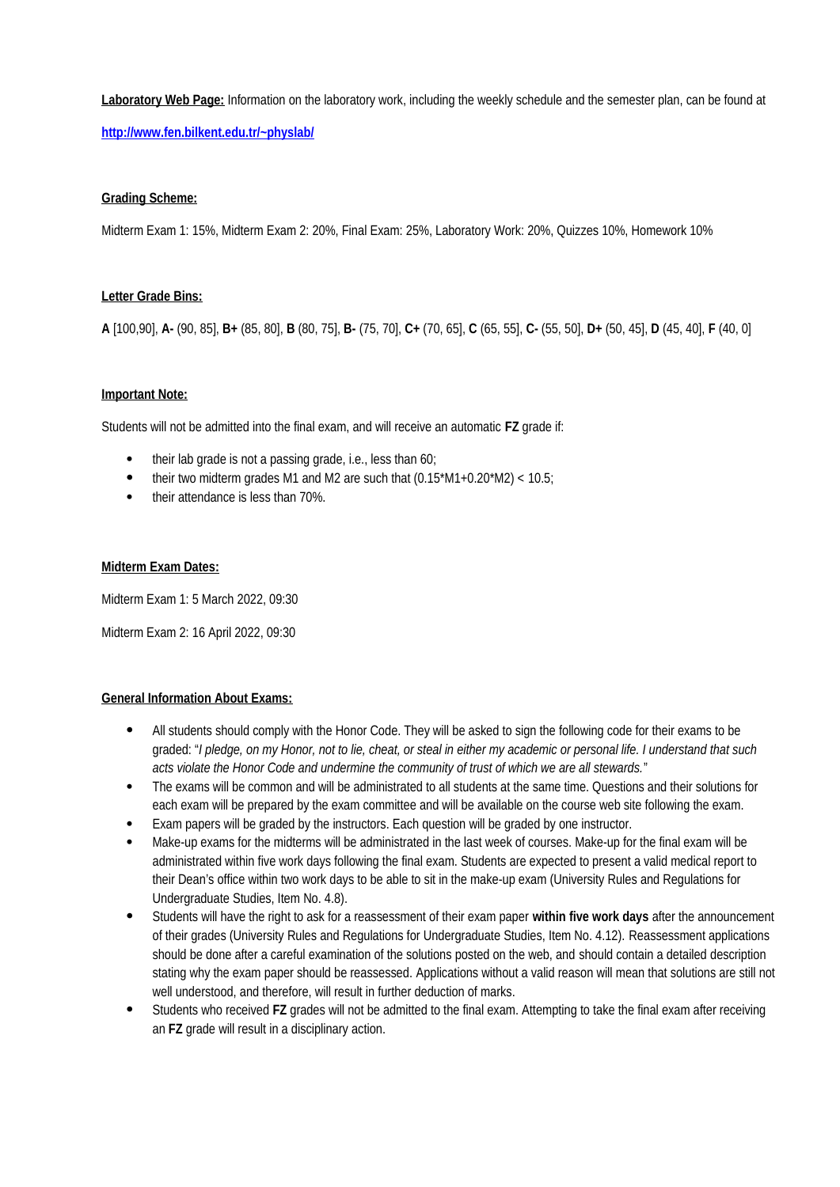**Laboratory Web Page:** Information on the laboratory work, including the weekly schedule and the semester plan, can be found at

**<http://www.fen.bilkent.edu.tr/~physlab/>**

### **Grading Scheme:**

Midterm Exam 1: 15%, Midterm Exam 2: 20%, Final Exam: 25%, Laboratory Work: 20%, Quizzes 10%, Homework 10%

### **Letter Grade Bins:**

**A** [100,90], **A-** (90, 85], **B+** (85, 80], **B** (80, 75], **B-** (75, 70], **C+** (70, 65], **C** (65, 55], **C-** (55, 50], **D+** (50, 45], **D** (45, 40], **F** (40, 0]

## **Important Note:**

Students will not be admitted into the final exam, and will receive an automatic **FZ** grade if:

- their lab grade is not a passing grade, i.e., less than 60;
- their two midterm grades M1 and M2 are such that  $(0.15*M1+0.20*M2) < 10.5$ ;
- their attendance is less than 70%.

### **Midterm Exam Dates:**

Midterm Exam 1: 5 March 2022, 09:30

Midterm Exam 2: 16 April 2022, 09:30

### **General Information About Exams:**

- All students should comply with the Honor Code. They will be asked to sign the following code for their exams to be graded: "*I pledge, on my Honor, not to lie, cheat, or steal in either my academic or personal life. I understand that such acts violate the Honor Code and undermine the community of trust of which we are all stewards.*"
- The exams will be common and will be administrated to all students at the same time. Questions and their solutions for each exam will be prepared by the exam committee and will be available on the course web site following the exam.
- Exam papers will be graded by the instructors. Each question will be graded by one instructor.
- Make-up exams for the midterms will be administrated in the last week of courses. Make-up for the final exam will be administrated within five work days following the final exam. Students are expected to present a valid medical report to their Dean's office within two work days to be able to sit in the make-up exam (University Rules and Regulations for Undergraduate Studies, Item No. 4.8).
- Students will have the right to ask for a reassessment of their exam paper **within five work days** after the announcement of their grades (University Rules and Regulations for Undergraduate Studies, Item No. 4.12). Reassessment applications should be done after a careful examination of the solutions posted on the web, and should contain a detailed description stating why the exam paper should be reassessed. Applications without a valid reason will mean that solutions are still not well understood, and therefore, will result in further deduction of marks.
- Students who received **FZ** grades will not be admitted to the final exam. Attempting to take the final exam after receiving an **FZ** grade will result in a disciplinary action.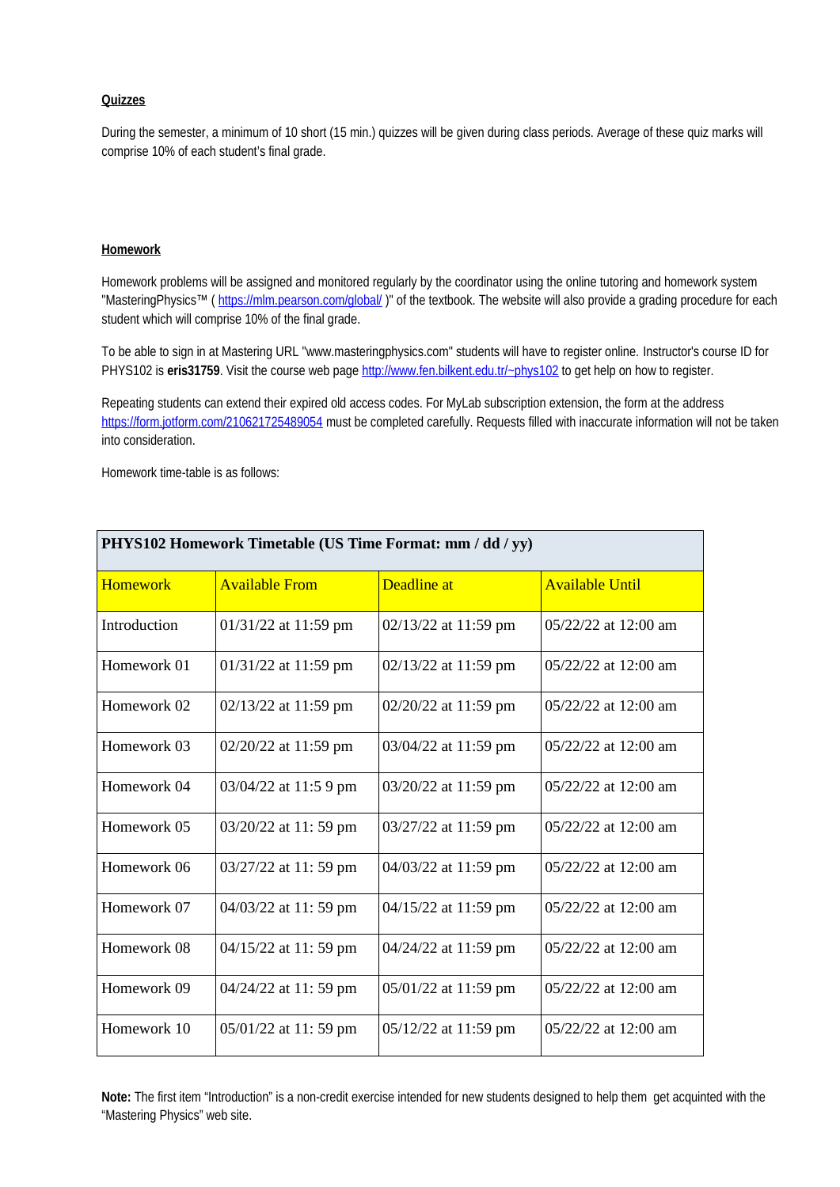# **Quizzes**

During the semester, a minimum of 10 short (15 min.) quizzes will be given during class periods. Average of these quiz marks will comprise 10% of each student's final grade.

### **Homework**

Homework problems will be assigned and monitored regularly by the coordinator using the online tutoring and homework system "MasteringPhysics™ (<https://mlm.pearson.com/global/>)" of the textbook. The website will also provide a grading procedure for each student which will comprise 10% of the final grade.

To be able to sign in at Mastering URL "www.masteringphysics.com" students will have to register online. Instructor's course ID for PHYS102 is **eris31759**. Visit the course web page http://www.fen.bilkent.edu.tr/~phys102 to get help on how to register.

Repeating students can extend their expired old access codes. For MyLab subscription extension, the form at the address <https://form.jotform.com/210621725489054> must be completed carefully. Requests filled with inaccurate information will not be taken into consideration.

Homework time-table is as follows:

| PHYS102 Homework Timetable (US Time Format: mm / dd / yy) |                       |                      |                        |  |  |  |
|-----------------------------------------------------------|-----------------------|----------------------|------------------------|--|--|--|
| <b>Homework</b>                                           | <b>Available From</b> | Deadline at          | <b>Available Until</b> |  |  |  |
| Introduction                                              | 01/31/22 at 11:59 pm  | 02/13/22 at 11:59 pm | 05/22/22 at 12:00 am   |  |  |  |
| Homework 01                                               | 01/31/22 at 11:59 pm  | 02/13/22 at 11:59 pm | $05/22/22$ at 12:00 am |  |  |  |
| Homework 02                                               | 02/13/22 at 11:59 pm  | 02/20/22 at 11:59 pm | 05/22/22 at 12:00 am   |  |  |  |
| Homework 03                                               | 02/20/22 at 11:59 pm  | 03/04/22 at 11:59 pm | 05/22/22 at 12:00 am   |  |  |  |
| Homework 04                                               | 03/04/22 at 11:5 9 pm | 03/20/22 at 11:59 pm | 05/22/22 at 12:00 am   |  |  |  |
| Homework 05                                               | 03/20/22 at 11:59 pm  | 03/27/22 at 11:59 pm | 05/22/22 at 12:00 am   |  |  |  |
| Homework 06                                               | 03/27/22 at 11:59 pm  | 04/03/22 at 11:59 pm | 05/22/22 at 12:00 am   |  |  |  |
| Homework 07                                               | 04/03/22 at 11:59 pm  | 04/15/22 at 11:59 pm | $05/22/22$ at 12:00 am |  |  |  |
| Homework 08                                               | 04/15/22 at 11:59 pm  | 04/24/22 at 11:59 pm | 05/22/22 at 12:00 am   |  |  |  |
| Homework 09                                               | 04/24/22 at 11:59 pm  | 05/01/22 at 11:59 pm | 05/22/22 at 12:00 am   |  |  |  |
| Homework 10                                               | 05/01/22 at 11:59 pm  | 05/12/22 at 11:59 pm | 05/22/22 at 12:00 am   |  |  |  |

**Note:** The first item "Introduction" is a non-credit exercise intended for new students designed to help them get acquinted with the "Mastering Physics" web site.